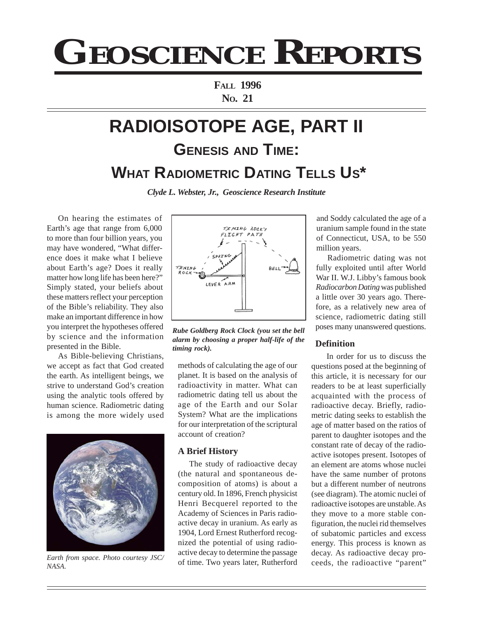# **GEOSCIENCE REPORTS**

**FALL 1996 NO. 21**

# **RADIOISOTOPE AGE, PART II GENESIS AND TIME: WHAT RADIOMETRIC DATING TELLS US\***

*Clyde L. Webster, Jr., Geoscience Research Institute*

On hearing the estimates of Earth's age that range from 6,000 to more than four billion years, you may have wondered, "What difference does it make what I believe about Earth's age? Does it really matter how long life has been here?" Simply stated, your beliefs about these matters reflect your perception of the Bible's reliability. They also make an important difference in how you interpret the hypotheses offered by science and the information presented in the Bible.

As Bible-believing Christians, we accept as fact that God created the earth. As intelligent beings, we strive to understand God's creation using the analytic tools offered by human science. Radiometric dating is among the more widely used



Earth from space. Photo courtesy JSC/<br>
of time. Two years later, Rutherford ceeds, the radioactive "parent" *NASA.*



*Rube Goldberg Rock Clock (you set the bell alarm by choosing a proper half-life of the timing rock).*

methods of calculating the age of our planet. It is based on the analysis of radioactivity in matter. What can radiometric dating tell us about the age of the Earth and our Solar System? What are the implications for our interpretation of the scriptural account of creation?

#### **A Brief History**

The study of radioactive decay (the natural and spontaneous decomposition of atoms) is about a century old. In 1896, French physicist Henri Becquerel reported to the Academy of Sciences in Paris radioactive decay in uranium. As early as 1904, Lord Ernest Rutherford recognized the potential of using radioactive decay to determine the passage

and Soddy calculated the age of a uranium sample found in the state of Connecticut, USA, to be 550 million years.

Radiometric dating was not fully exploited until after World War II. W.J. Libby's famous book *Radiocarbon Dating* was published a little over 30 years ago. Therefore, as a relatively new area of science, radiometric dating still poses many unanswered questions.

# **Definition**

In order for us to discuss the questions posed at the beginning of this article, it is necessary for our readers to be at least superficially acquainted with the process of radioactive decay. Briefly, radiometric dating seeks to establish the age of matter based on the ratios of parent to daughter isotopes and the constant rate of decay of the radioactive isotopes present. Isotopes of an element are atoms whose nuclei have the same number of protons but a different number of neutrons (see diagram). The atomic nuclei of radioactive isotopes are unstable. As they move to a more stable configuration, the nuclei rid themselves of subatomic particles and excess energy. This process is known as decay. As radioactive decay pro-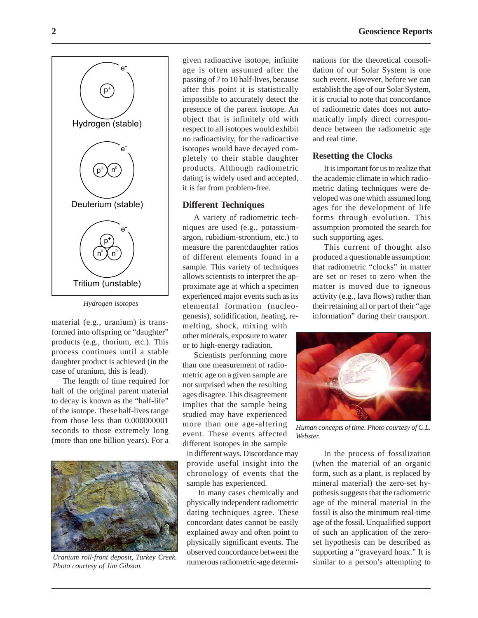

*Hydrogen isotopes*

material (e.g., uranium) is transformed into offspring or "daughter" products (e.g., thorium, etc.). This process continues until a stable daughter product is achieved (in the case of uranium, this is lead).

The length of time required for half of the original parent material to decay is known as the "half-life" of the isotope. These half-lives range from those less than 0.000000001 seconds to those extremely long (more than one billion years). For a



*Uranium roll-front deposit, Turkey Creek. Photo courtesy of Jim Gibson.*

given radioactive isotope, infinite age is often assumed after the passing of 7 to 10 half-lives, because after this point it is statistically impossible to accurately detect the presence of the parent isotope. An object that is infinitely old with respect to all isotopes would exhibit no radioactivity, for the radioactive isotopes would have decayed completely to their stable daughter products. Although radiometric dating is widely used and accepted, it is far from problem-free.

#### **Different Techniques**

A variety of radiometric techniques are used (e.g., potassiumargon, rubidium-strontium, etc.) to measure the parent:daughter ratios of different elements found in a sample. This variety of techniques allows scientists to interpret the approximate age at which a specimen experienced major events such as its elemental formation (nucleogenesis), solidification, heating, remelting, shock, mixing with other minerals, exposure to water or to high-energy radiation.

Scientists performing more than one measurement of radiometric age on a given sample are not surprised when the resulting ages disagree. This disagreement implies that the sample being studied may have experienced more than one age-altering event. These events affected different isotopes in the sample

in different ways. Discordance may provide useful insight into the chronology of events that the sample has experienced.

In many cases chemically and physically independent radiometric dating techniques agree. These concordant dates cannot be easily explained away and often point to physically significant events. The observed concordance between the numerous radiometric-age determinations for the theoretical consolidation of our Solar System is one such event. However, before we can establish the age of our Solar System, it is crucial to note that concordance of radiometric dates does not automatically imply direct correspondence between the radiometric age and real time.

#### **Resetting the Clocks**

It is important for us to realize that the academic climate in which radiometric dating techniques were developed was one which assumed long ages for the development of life forms through evolution. This assumption promoted the search for such supporting ages.

This current of thought also produced a questionable assumption: that radiometric "clocks" in matter are set or reset to zero when the matter is moved due to igneous activity (e.g., lava flows) rather than their retaining all or part of their "age information" during their transport.



*Human concepts of time. Photo courtesy of C.L. Webster.*

In the process of fossilization (when the material of an organic form, such as a plant, is replaced by mineral material) the zero-set hypothesis suggests that the radiometric age of the mineral material in the fossil is also the minimum real-time age of the fossil. Unqualified support of such an application of the zeroset hypothesis can be described as supporting a "graveyard hoax." It is similar to a person's attempting to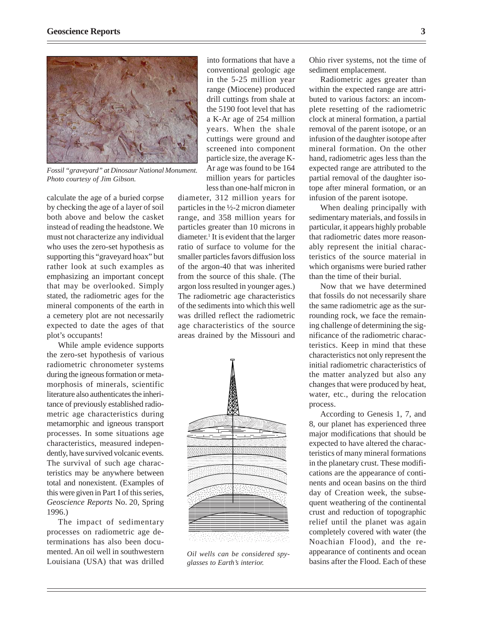

*Fossil "graveyard" at Dinosaur National Monument. Photo courtesy of Jim Gibson.*

calculate the age of a buried corpse by checking the age of a layer of soil both above and below the casket instead of reading the headstone. We must not characterize any individual who uses the zero-set hypothesis as supporting this "graveyard hoax" but rather look at such examples as emphasizing an important concept that may be overlooked. Simply stated, the radiometric ages for the mineral components of the earth in a cemetery plot are not necessarily expected to date the ages of that plot's occupants!

While ample evidence supports the zero-set hypothesis of various radiometric chronometer systems during the igneous formation or metamorphosis of minerals, scientific literature also authenticates the inheritance of previously established radiometric age characteristics during metamorphic and igneous transport processes. In some situations age characteristics, measured independently, have survived volcanic events. The survival of such age characteristics may be anywhere between total and nonexistent. (Examples of this were given in Part I of this series, *Geoscience Reports* No. 20, Spring 1996.)

The impact of sedimentary processes on radiometric age determinations has also been documented. An oil well in southwestern Louisiana (USA) that was drilled

into formations that have a conventional geologic age in the 5-25 million year range (Miocene) produced drill cuttings from shale at the 5190 foot level that has a K-Ar age of 254 million years. When the shale cuttings were ground and screened into component particle size, the average K-Ar age was found to be 164 million years for particles less than one-half micron in

diameter, 312 million years for particles in the ½-2 micron diameter range, and 358 million years for particles greater than 10 microns in diameter.<sup>1</sup> It is evident that the larger ratio of surface to volume for the smaller particles favors diffusion loss of the argon-40 that was inherited from the source of this shale. (The argon loss resulted in younger ages.) The radiometric age characteristics of the sediments into which this well was drilled reflect the radiometric age characteristics of the source areas drained by the Missouri and



*Oil wells can be considered spyglasses to Earth's interior.*

Ohio river systems, not the time of sediment emplacement.

Radiometric ages greater than within the expected range are attributed to various factors: an incomplete resetting of the radiometric clock at mineral formation, a partial removal of the parent isotope, or an infusion of the daughter isotope after mineral formation. On the other hand, radiometric ages less than the expected range are attributed to the partial removal of the daughter isotope after mineral formation, or an infusion of the parent isotope.

When dealing principally with sedimentary materials, and fossils in particular, it appears highly probable that radiometric dates more reasonably represent the initial characteristics of the source material in which organisms were buried rather than the time of their burial.

Now that we have determined that fossils do not necessarily share the same radiometric age as the surrounding rock, we face the remaining challenge of determining the significance of the radiometric characteristics. Keep in mind that these characteristics not only represent the initial radiometric characteristics of the matter analyzed but also any changes that were produced by heat, water, etc., during the relocation process.

According to Genesis 1, 7, and 8, our planet has experienced three major modifications that should be expected to have altered the characteristics of many mineral formations in the planetary crust. These modifications are the appearance of continents and ocean basins on the third day of Creation week, the subsequent weathering of the continental crust and reduction of topographic relief until the planet was again completely covered with water (the Noachian Flood), and the reappearance of continents and ocean basins after the Flood. Each of these